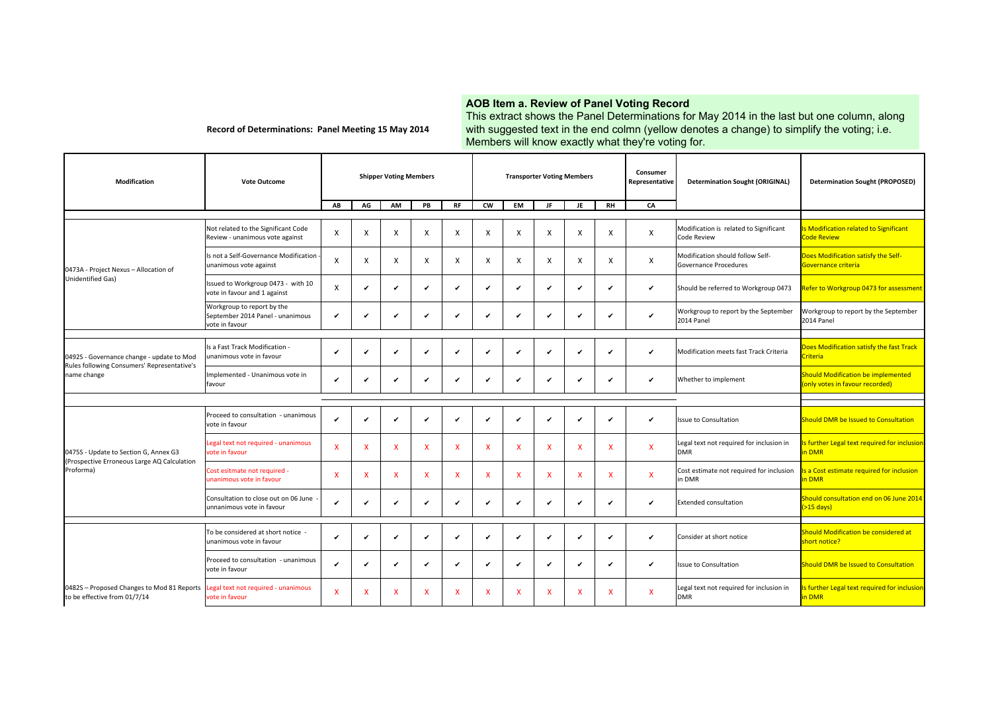## **AOB Item a. Review of Panel Voting Record**

Record of Determinations: Panel Meeting 15 May 2014

This extract shows the Panel Determinations for May 2014 in the last but one column, along with suggested text in the end colmn (yellow denotes a change) to simplify the voting; i.e. Members will know exactly what they're voting for.

| Modification                                                                                            | <b>Vote Outcome</b>                                                              |    | <b>Shipper Voting Members</b><br><b>Transporter Voting Members</b> |             |              |                           | Consumer<br>Representative | <b>Determination Sought (ORIGINAL)</b> | <b>Determination Sought (PROPOSED)</b> |                           |                           |              |                                                              |                                                                              |
|---------------------------------------------------------------------------------------------------------|----------------------------------------------------------------------------------|----|--------------------------------------------------------------------|-------------|--------------|---------------------------|----------------------------|----------------------------------------|----------------------------------------|---------------------------|---------------------------|--------------|--------------------------------------------------------------|------------------------------------------------------------------------------|
|                                                                                                         |                                                                                  | AB | AG                                                                 | AM          | PB           | <b>RF</b>                 | <b>CW</b>                  | EM                                     | JF                                     | JE                        | <b>RH</b>                 | CA           |                                                              |                                                                              |
| 0473A - Project Nexus - Allocation of                                                                   | Not related to the Significant Code<br>Review - unanimous vote against           | X  | X                                                                  | X           | X            | $\mathsf{x}$              | X                          | X                                      | $\times$                               | X                         | X                         | X            | Modification is related to Significant<br><b>Code Review</b> | Is Modification related to Significant<br><b>Code Review</b>                 |
|                                                                                                         | Is not a Self-Governance Modification<br>unanimous vote against                  | X  | X                                                                  | X           | X            | X                         | X                          | $\mathsf{x}$                           | $\times$                               | X                         | X                         | X            | Modification should follow Self-<br>Governance Procedures    | Does Modification satisfy the Self-<br>Governance criteria                   |
| <b>Unidentified Gas)</b>                                                                                | Issued to Workgroup 0473 - with 10<br>vote in favour and 1 against               | X  | ✓                                                                  | ✔           | $\checkmark$ | ✓                         | ✔                          | $\checkmark$                           | ✓                                      |                           | ✓                         | ✓            | Should be referred to Workgroup 0473                         | Refer to Workgroup 0473 for assessment                                       |
|                                                                                                         | Workgroup to report by the<br>September 2014 Panel - unanimous<br>vote in favour |    | ✓                                                                  |             | ٠            | $\checkmark$              |                            | ✓                                      | ✔                                      |                           | ✔                         | $\checkmark$ | Workgroup to report by the September<br>2014 Panel           | Workgroup to report by the September<br>2014 Panel                           |
|                                                                                                         |                                                                                  |    |                                                                    |             |              |                           |                            |                                        |                                        |                           |                           |              |                                                              |                                                                              |
| 0492S - Governance change - update to Mod<br>Rules following Consumers' Representative's<br>name change | Is a Fast Track Modification -<br>unanimous vote in favour                       |    | ✓                                                                  | ✔           | $\checkmark$ | $\checkmark$              | ✔                          | ٠                                      | ✓                                      | ✓                         | ✔                         | $\checkmark$ | Modification meets fast Track Criteria                       | Does Modification satisfy the fast Track<br>Criteria                         |
|                                                                                                         | Implemented - Unanimous vote in<br>favour                                        | ✔  | ✓                                                                  | ✔           | ✓            | ✔                         | ✔                          | ✔                                      | ✓                                      | ✓                         | ✔                         | ✓            | Whether to implement                                         | <b>Should Modification be implemented</b><br>(only votes in favour recorded) |
|                                                                                                         |                                                                                  |    |                                                                    |             |              |                           |                            |                                        |                                        |                           |                           |              |                                                              |                                                                              |
| 0475S - Update to Section G, Annex G3                                                                   | Proceed to consultation - unanimous<br>vote in favour                            | ✔  | ✓                                                                  | ✔           | $\checkmark$ | $\checkmark$              | ✓                          | $\checkmark$                           | ر                                      | $\overline{\phantom{a}}$  | ✓                         | ✓            | Issue to Consultation                                        | <b>Should DMR be Issued to Consultation</b>                                  |
|                                                                                                         | Legal text not required - unanimous<br>vote in favour                            | X  | $\boldsymbol{\mathsf{x}}$                                          | x           | X            | $\overline{\mathsf{x}}$   | x                          | $\boldsymbol{\mathsf{x}}$              | X                                      | x                         | $\boldsymbol{\mathsf{x}}$ | $\mathsf{x}$ | Legal text not required for inclusion in<br><b>DMR</b>       | Is further Legal text required for inclusion<br>in DMR                       |
| (Prospective Erroneous Large AQ Calculation<br>Proforma)                                                | Cost esitmate not required -<br>unanimous vote in favour                         | X  | $\boldsymbol{\mathsf{x}}$                                          | $\mathbf x$ | X            | $\boldsymbol{\mathsf{x}}$ | X                          | $\mathsf{x}$                           | $\mathsf{x}$                           | $\boldsymbol{\mathsf{x}}$ | X                         | $\mathsf{x}$ | Cost estimate not required for inclusion<br>in DMR           | a Cost estimate required for inclusion<br>in DMR                             |
|                                                                                                         | Consultation to close out on 06 June<br>unnanimous vote in favour                | ر  | ✓                                                                  | ✔           | ✓            | ✓                         | ✔                          | ✓                                      | $\checkmark$                           | ✓                         | ✓                         | ✓            | <b>Extended consultation</b>                                 | Should consultation end on 06 June 2014<br>$($ >15 days)                     |
|                                                                                                         |                                                                                  |    |                                                                    |             |              |                           |                            |                                        |                                        |                           |                           |              |                                                              |                                                                              |
|                                                                                                         | To be considered at short notice -<br>unanimous vote in favour                   |    |                                                                    | ✔           | $\checkmark$ | $\checkmark$              |                            | $\checkmark$                           | $\checkmark$                           |                           | ✔                         | ✓            | Consider at short notice                                     | Should Modification be considered at<br>short notice?                        |
|                                                                                                         | Proceed to consultation - unanimous<br>vote in favour                            | ✔  | $\checkmark$                                                       |             | $\checkmark$ | $\checkmark$              |                            | $\checkmark$                           | $\checkmark$                           | ✔                         | ✓                         | ✓            | Issue to Consultation                                        | <b>Should DMR be Issued to Consultation</b>                                  |
| 0482S - Proposed Changes to Mod 81 Reports<br>to be effective from 01/7/14                              | egal text not required - unanimous<br>vote in favour                             | X  | X                                                                  | X           | X            | X                         | x                          | $\mathsf{x}$                           | X                                      | X                         | X                         | $\mathsf{x}$ | Legal text not required for inclusion in<br><b>DMR</b>       | s further Legal text required for inclusion<br>in DMR                        |